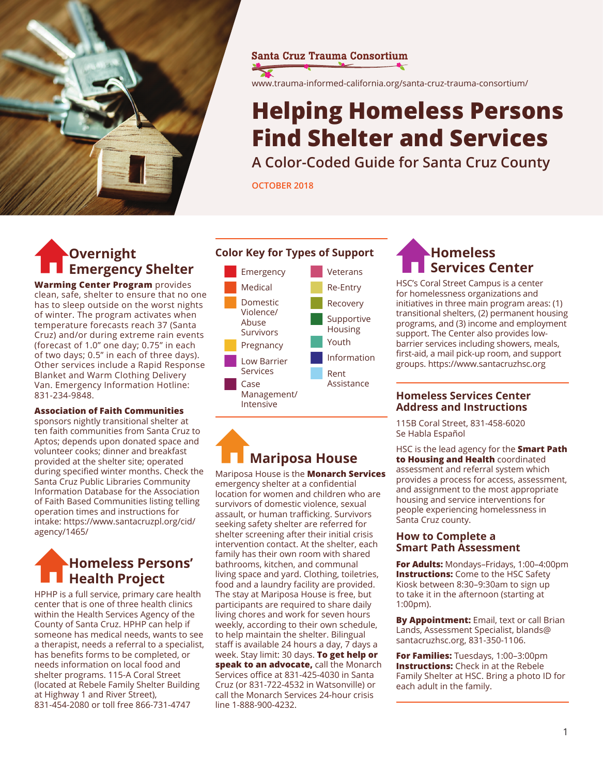

#### **Santa Cruz Trauma Consortium**

www.trauma-informed-california.org/santa-cruz-trauma-consortium/

# **Helping Homeless Persons Find Shelter and Services**

**A Color-Coded Guide for Santa Cruz County**

**October 2018**

# **Overnight Emergency Shelter**

**Warming Center Program** provides clean, safe, shelter to ensure that no one has to sleep outside on the worst nights of winter. The program activates when temperature forecasts reach 37 (Santa Cruz) and/or during extreme rain events (forecast of 1.0" one day; 0.75" in each of two days; 0.5" in each of three days). Other services include a Rapid Response Blanket and Warm Clothing Delivery Van. Emergency Information Hotline: 831-234-9848.

#### **Association of Faith Communities**

sponsors nightly transitional shelter at ten faith communities from Santa Cruz to Aptos; depends upon donated space and volunteer cooks; dinner and breakfast provided at the shelter site; operated during specified winter months. Check the Santa Cruz Public Libraries Community Information Database for the Association of Faith Based Communities listing telling operation times and instructions for intake: https://www.santacruzpl.org/cid/ agency/1465/

## **Homeless Persons' Health Project**

HPHP is a full service, primary care health center that is one of three health clinics within the Health Services Agency of the County of Santa Cruz. HPHP can help if someone has medical needs, wants to see a therapist, needs a referral to a specialist, has benefits forms to be completed, or needs information on local food and shelter programs. 115-A Coral Street (located at Rebele Family Shelter Building at Highway 1 and River Street), 831-454-2080 or toll free 866-731-4747

#### **Color Key for Types of Support**



# **Homeless Services Center**

HSC's Coral Street Campus is a center for homelessness organizations and initiatives in three main program areas: (1) transitional shelters, (2) permanent housing programs, and (3) income and employment support. The Center also provides lowbarrier services including showers, meals, first-aid, a mail pick-up room, and support groups. https://www.santacruzhsc.org

#### **Homeless Services Center Address and Instructions**

115B Coral Street, 831-458-6020 Se Habla Español

HSC is the lead agency for the **Smart Path to Housing and Health** coordinated assessment and referral system which provides a process for access, assessment, and assignment to the most appropriate housing and service interventions for people experiencing homelessness in Santa Cruz county.

#### **How to Complete a Smart Path Assessment**

**For Adults:** Mondays–Fridays, 1:00–4:00pm **Instructions:** Come to the HSC Safety Kiosk between 8:30–9:30am to sign up to take it in the afternoon (starting at 1:00pm).

**By Appointment:** Email, text or call Brian Lands, Assessment Specialist, blands@ santacruzhsc.org, 831-350-1106.

**For Families:** Tuesdays, 1:00–3:00pm **Instructions:** Check in at the Rebele Family Shelter at HSC. Bring a photo ID for each adult in the family.

# **Mariposa House**

Mariposa House is the **Monarch Services** emergency shelter at a confidential location for women and children who are survivors of domestic violence, sexual assault, or human trafficking. Survivors seeking safety shelter are referred for shelter screening after their initial crisis intervention contact. At the shelter, each family has their own room with shared bathrooms, kitchen, and communal living space and yard. Clothing, toiletries, food and a laundry facility are provided. The stay at Mariposa House is free, but participants are required to share daily living chores and work for seven hours weekly, according to their own schedule, to help maintain the shelter. Bilingual staff is available 24 hours a day, 7 days a week. Stay limit: 30 days. **To get help or speak to an advocate,** call the Monarch Services office at 831-425-4030 in Santa Cruz (or 831-722-4532 in Watsonville) or call the Monarch Services 24-hour crisis line 1-888-900-4232.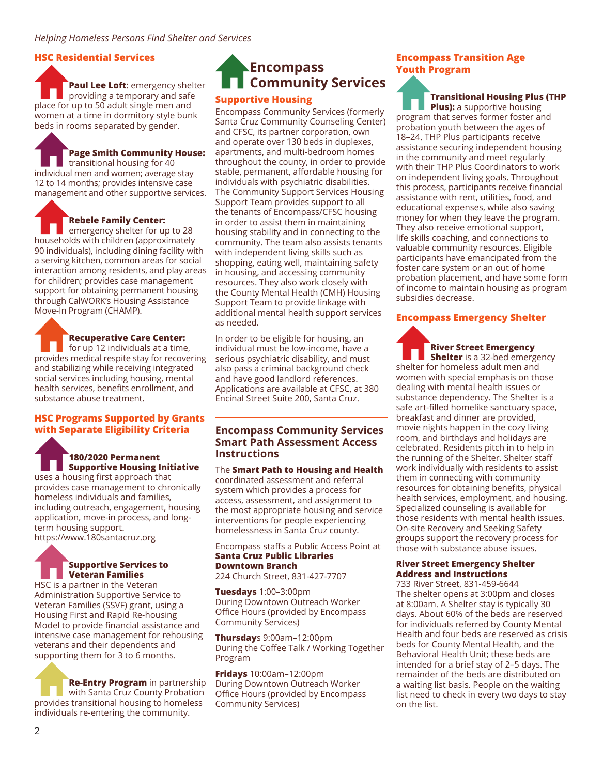#### **HSC Residential Services**

**Paul Lee Loft**: emergency shelter providing a temporary and safe place for up to 50 adult single men and women at a time in dormitory style bunk beds in rooms separated by gender.

**Page Smith Community House:** transitional housing for 40 individual men and women; average stay 12 to 14 months; provides intensive case management and other supportive services.

#### **Rebele Family Center:**

emergency shelter for up to 28 households with children (approximately 90 individuals), including dining facility with a serving kitchen, common areas for social interaction among residents, and play areas for children; provides case management support for obtaining permanent housing through CalWORK's Housing Assistance Move-In Program (CHAMP).

**Recuperative Care Center:**  for up 12 individuals at a time,

provides medical respite stay for recovering and stabilizing while receiving integrated social services including housing, mental health services, benefits enrollment, and substance abuse treatment.

#### **HSC Programs Supported by Grants with Separate Eligibility Criteria**

#### **180/2020 Permanent Supportive Housing Initiative**

uses a housing first approach that provides case management to chronically homeless individuals and families, including outreach, engagement, housing application, move-in process, and longterm housing support.

https://www.180santacruz.org

#### **Supportive Services to Veteran Families**

HSC is a partner in the Veteran Administration Supportive Service to Veteran Families (SSVF) grant, using a Housing First and Rapid Re-housing Model to provide financial assistance and intensive case management for rehousing veterans and their dependents and supporting them for 3 to 6 months.

#### **Re-Entry Program** in partnership with Santa Cruz County Probation provides transitional housing to homeless individuals re-entering the community.

### **Encompass Community Services Supportive Housing**

Encompass Community Services (formerly Santa Cruz Community Counseling Center) and CFSC, its partner corporation, own and operate over 130 beds in duplexes, apartments, and multi-bedroom homes throughout the county, in order to provide stable, permanent, affordable housing for individuals with psychiatric disabilities. The Community Support Services Housing Support Team provides support to all the tenants of Encompass/CFSC housing in order to assist them in maintaining housing stability and in connecting to the community. The team also assists tenants with independent living skills such as shopping, eating well, maintaining safety in housing, and accessing community resources. They also work closely with the County Mental Health (CMH) Housing Support Team to provide linkage with additional mental health support services as needed.

In order to be eligible for housing, an individual must be low-income, have a serious psychiatric disability, and must also pass a criminal background check and have good landlord references. Applications are available at CFSC, at 380 Encinal Street Suite 200, Santa Cruz.

#### **Encompass Community Services Smart Path Assessment Access Instructions**

#### The **Smart Path to Housing and Health**

coordinated assessment and referral system which provides a process for access, assessment, and assignment to the most appropriate housing and service interventions for people experiencing homelessness in Santa Cruz county.

#### Encompass staffs a Public Access Point at **Santa Cruz Public Libraries Downtown Branch**

224 Church Street, 831-427-7707

**Tuesdays** 1:00–3:00pm During Downtown Outreach Worker Office Hours (provided by Encompass Community Services)

**Thursday**s 9:00am–12:00pm During the Coffee Talk / Working Together Program

**Fridays** 10:00am–12:00pm During Downtown Outreach Worker Office Hours (provided by Encompass Community Services)

#### **Encompass Transition Age Youth Program**

**Transitional Housing Plus (THP Plus):** a supportive housing program that serves former foster and probation youth between the ages of 18–24. THP Plus participants receive assistance securing independent housing in the community and meet regularly with their THP Plus Coordinators to work on independent living goals. Throughout this process, participants receive financial assistance with rent, utilities, food, and educational expenses, while also saving money for when they leave the program. They also receive emotional support, life skills coaching, and connections to valuable community resources. Eligible participants have emancipated from the foster care system or an out of home probation placement, and have some form of income to maintain housing as program subsidies decrease.

#### **Encompass Emergency Shelter**

## **River Street Emergency**

**Shelter** is a 32-bed emergency shelter for homeless adult men and women with special emphasis on those dealing with mental health issues or substance dependency. The Shelter is a safe art-filled homelike sanctuary space, breakfast and dinner are provided, movie nights happen in the cozy living room, and birthdays and holidays are celebrated. Residents pitch in to help in the running of the Shelter. Shelter staff work individually with residents to assist them in connecting with community resources for obtaining benefits, physical health services, employment, and housing. Specialized counseling is available for those residents with mental health issues. On-site Recovery and Seeking Safety groups support the recovery process for those with substance abuse issues.

#### **River Street Emergency Shelter Address and Instructions**

733 River Street, 831-459-6644 The shelter opens at 3:00pm and closes at 8:00am. A Shelter stay is typically 30 days. About 60% of the beds are reserved for individuals referred by County Mental Health and four beds are reserved as crisis beds for County Mental Health, and the Behavioral Health Unit; these beds are intended for a brief stay of 2–5 days. The remainder of the beds are distributed on a waiting list basis. People on the waiting list need to check in every two days to stay on the list.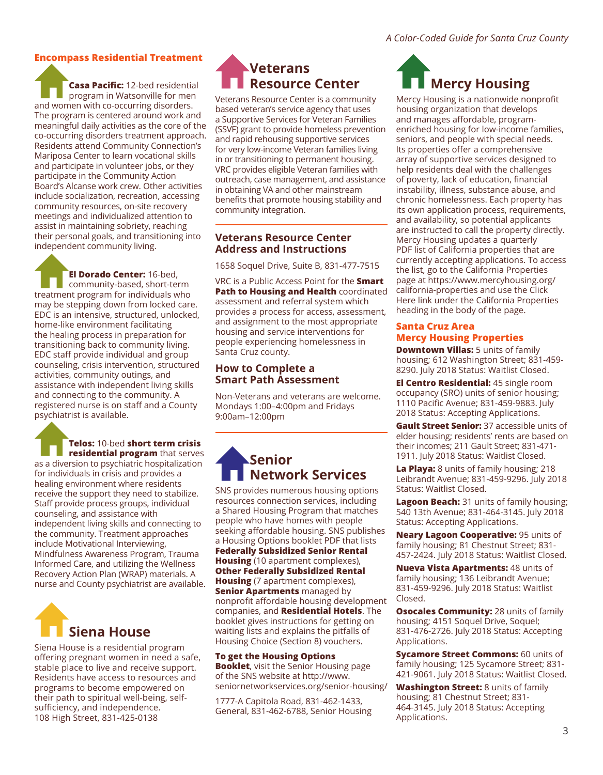#### **Encompass Residential Treatment**

**Casa Pacific:** 12-bed residential program in Watsonville for men and women with co-occurring disorders. The program is centered around work and meaningful daily activities as the core of the co-occurring disorders treatment approach. Residents attend Community Connection's Mariposa Center to learn vocational skills and participate in volunteer jobs, or they participate in the Community Action Board's Alcanse work crew. Other activities include socialization, recreation, accessing community resources, on-site recovery meetings and individualized attention to assist in maintaining sobriety, reaching their personal goals, and transitioning into independent community living.

**El Dorado Center:** 16-bed, community-based, short-term treatment program for individuals who may be stepping down from locked care. EDC is an intensive, structured, unlocked, home-like environment facilitating the healing process in preparation for transitioning back to community living. EDC staff provide individual and group counseling, crisis intervention, structured activities, community outings, and assistance with independent living skills and connecting to the community. A registered nurse is on staff and a County psychiatrist is available.

#### **Telos:** 10-bed **short term crisis residential program** that serves

as a diversion to psychiatric hospitalization for individuals in crisis and provides a healing environment where residents receive the support they need to stabilize. Staff provide process groups, individual counseling, and assistance with independent living skills and connecting to the community. Treatment approaches include Motivational Interviewing, Mindfulness Awareness Program, Trauma Informed Care, and utilizing the Wellness Recovery Action Plan (WRAP) materials. A nurse and County psychiatrist are available.



Siena House is a residential program offering pregnant women in need a safe, stable place to live and receive support. Residents have access to resources and programs to become empowered on their path to spiritual well-being, selfsufficiency, and independence. 108 High Street, 831-425-0138

# **Veterans Resource Center**

Veterans Resource Center is a community based veteran's service agency that uses a Supportive Services for Veteran Families (SSVF) grant to provide homeless prevention and rapid rehousing supportive services for very low-income Veteran families living in or transitioning to permanent housing. VRC provides eligible Veteran families with outreach, case management, and assistance in obtaining VA and other mainstream benefits that promote housing stability and community integration.

#### **Veterans Resource Center Address and Instructions**

1658 Soquel Drive, Suite B, 831-477-7515

VRC is a Public Access Point for the **Smart Path to Housing and Health** coordinated assessment and referral system which provides a process for access, assessment, and assignment to the most appropriate housing and service interventions for people experiencing homelessness in Santa Cruz county.

#### **How to Complete a Smart Path Assessment**

Non-Veterans and veterans are welcome. Mondays 1:00–4:00pm and Fridays 9:00am–12:00pm

# **Senior Network Services**

SNS provides numerous housing options resources connection services, including a Shared Housing Program that matches people who have homes with people seeking affordable housing. SNS publishes a Housing Options booklet PDF that lists **Federally Subsidized Senior Rental Housing** (10 apartment complexes), **Other Federally Subsidized Rental Housing** (7 apartment complexes), **Senior Apartments** managed by nonprofit affordable housing development companies, and **Residential Hotels**. The booklet gives instructions for getting on waiting lists and explains the pitfalls of Housing Choice (Section 8) vouchers.

**To get the Housing Options Booklet**, visit the Senior Housing page of the SNS website at http://www. seniornetworkservices.org/senior-housing/

1777-A Capitola Road, 831-462-1433, General, 831-462-6788, Senior Housing

# **Mercy Housing**

Mercy Housing is a nationwide nonprofit housing organization that develops and manages affordable, programenriched housing for low-income families, seniors, and people with special needs. Its properties offer a comprehensive array of supportive services designed to help residents deal with the challenges of poverty, lack of education, financial instability, illness, substance abuse, and chronic homelessness. Each property has its own application process, requirements, and availability, so potential applicants are instructed to call the property directly. Mercy Housing updates a quarterly PDF list of California properties that are currently accepting applications. To access the list, go to the California Properties page at https://www.mercyhousing.org/ california-properties and use the Click Here link under the California Properties heading in the body of the page.

#### **Santa Cruz Area Mercy Housing Properties**

**Downtown Villas:** 5 units of family housing; 612 Washington Street; 831-459- 8290. July 2018 Status: Waitlist Closed.

**El Centro Residential:** 45 single room occupancy (SRO) units of senior housing; 1110 Pacific Avenue; 831-459-9883. July 2018 Status: Accepting Applications.

**Gault Street Senior:** 37 accessible units of elder housing; residents' rents are based on their incomes; 211 Gault Street; 831-471- 1911. July 2018 Status: Waitlist Closed.

**La Playa:** 8 units of family housing; 218 Leibrandt Avenue; 831-459-9296. July 2018 Status: Waitlist Closed.

**Lagoon Beach:** 31 units of family housing; 540 13th Avenue; 831-464-3145. July 2018 Status: Accepting Applications.

**Neary Lagoon Cooperative:** 95 units of family housing; 81 Chestnut Street; 831- 457-2424. July 2018 Status: Waitlist Closed.

**Nueva Vista Apartments:** 48 units of family housing; 136 Leibrandt Avenue; 831-459-9296. July 2018 Status: Waitlist Closed.

**Osocales Community:** 28 units of family housing; 4151 Soquel Drive, Soquel; 831-476-2726. July 2018 Status: Accepting Applications.

**Sycamore Street Commons:** 60 units of family housing; 125 Sycamore Street; 831- 421-9061. July 2018 Status: Waitlist Closed.

**Washington Street:** 8 units of family housing; 81 Chestnut Street; 831- 464-3145. July 2018 Status: Accepting Applications.